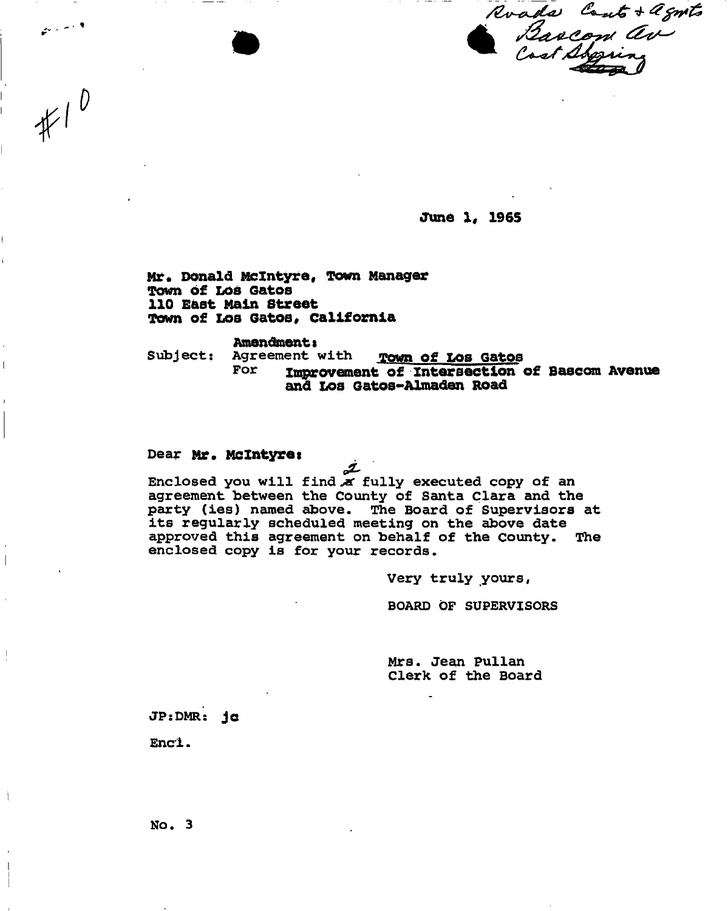Roads Cont + agnts<br>Baacon av<br>Cost Abggring

**June 1, 1965** 

**Mr# Donald Mclntyre, Town Manager Town of Los Gatos 110 East Main Street Town of Los Gatos, California** 

**Amendment:**<br>Agreement with Subject: Agreement with **Town of Los Gatos**<br>For **The Agreement** of Intersection Improvement of Intersection of Bascom Avenue **and Los Gatos-Almaden Road** 

#### Dear **Mr. Mclntyrei**

 $\mathbb{R}^{n \times (n-1)/2}$ 

 $*10$ 

Enclosed you will find a fully executed copy of an **agreement between the County of Santa Clara and the party (ies) named above. The Board of Supervisors at its regularly scheduled meeting on the above date approved this agreement on behalf of the county. The enclosed copy is for your records.** 

**Very truly yours,** 

**BOARD OF SUPERVISORS** 

**Mrs. Jean pullan Clerk of the Board** 

**JP:DMR: J c** 

**Enci.** 

**No. 3**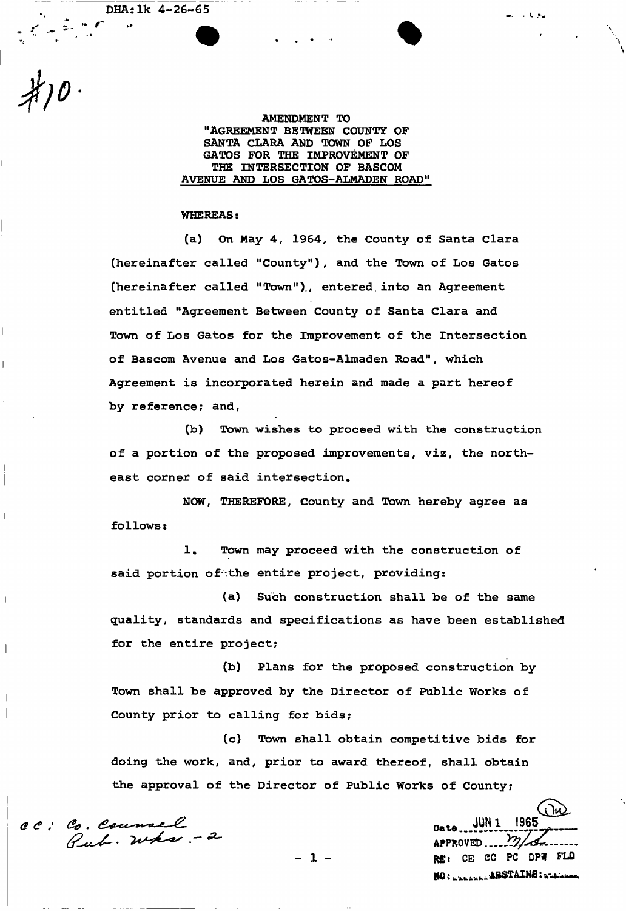DHAslk 4-26-65

>\* *R* 

*o* 

**AMENDMENT TO "AGREEMENT BETWEEN COUNTY OF SANTA CLARA AND TOWN OP LOS GATOS FOR THE IMPROVEMENT OF THE INTERSECTION OF BASCOM AVENUE AND LOS GATOS-ALMADEN ROAD"** 

#### **WHEREAS:**

**(a) On May 4, 1964, the County of Santa Clara (hereinafter called "County"), and the Town of Los Gatos (hereinafter called "Town"),, entered into an Agreement entitled "Agreement Between County of Santa Clara and Town of Los Gatos for the Improvement of the Intersection of Bascom Avenue and Los Gatos-Almaden Road", which Agreement is incorporated herein and made a part hereof by reference? and,** 

**(b) Town wishes to proceed with the construction of a portion of the proposed improvements, viz, the northeast corner of said intersection.** 

**NOW, THEREFORE, County and Town hereby agree as follows:** 

**1. Town may proceed with the construction of**  said portion of the entire project, providing:

**quality, standards and specifications as have been established for the entire project; (a) Such construction shall be of the same** 

**Town shall be approved by the Director of Public Works of County prior to calling for bids; (b) Plans for the proposed construction by** 

**doing the work, and, prior to award thereof, shall obtain the approval of the Director of Public Works of County; (c) Town shall obtain competitive bids for** 

*(SE* .

ાં ોપ્યે **JUN1 1965** Date **1 - Rg:** CE CC PC DPN FLO HO: www.absTAINS: www.

**Contract Contract**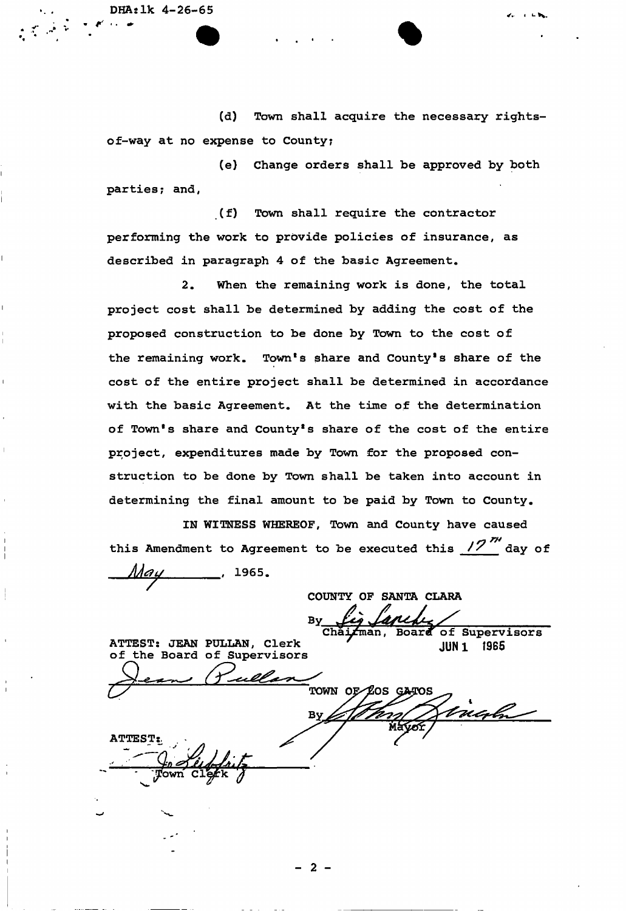i

i

**(d) Town shall acquire the necessary rightsof-way at no expense to County?** 

**(e) Change orders shall be approved by both , parties; and,** 

**(f) Town shall require the contractor performing the work to provide policies of insurance, as <sup>1</sup> described in paragraph 4 of the basic Agreement.** 

**2. When the remaining work is done, the total <sup>1</sup> project cost shall be determined by adding the cost of the | proposed construction to be done by Town to the cost of the remaining work. Town's share and County's share of the ' cost of the entire project shall be determined in accordance with the basic Agreement. At the time of the determination of Town's share and County's share of the cost of the entire <sup>1</sup> project, expenditures made by Town for the proposed construction to be done by Town shall be taken into account in determining the final amount to be paid by Town to County.** 

**IN WITNESS WHEREOF, Town and County have caused**  i in this local part to lower and to be exampled this  $\mathcal{D}^{\prime\prime\prime}$ **jack this Amendment to Agreement to be executed this <u>12 aay</u> of** *May* , 1965.

**COUNTY OF SANTA CLARA** 

**Board** of Supervisors

ATTEST: JEAN PULLAN, Clerk of the Board of Supervisors

**JUN 1** 1965 TOWN OF LOS GATOS<br>Mayor Singh By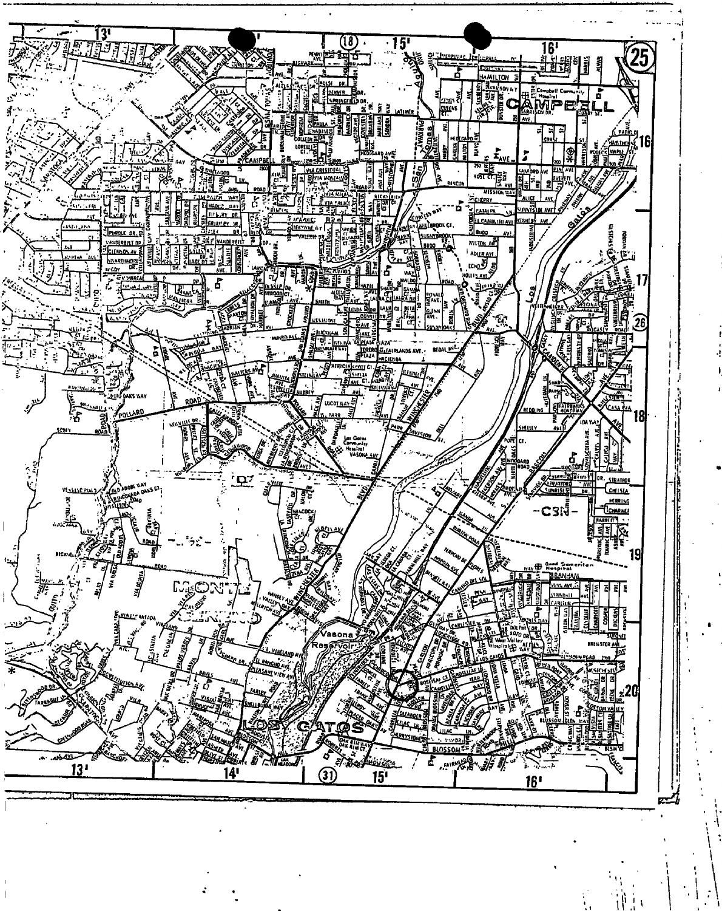

!i I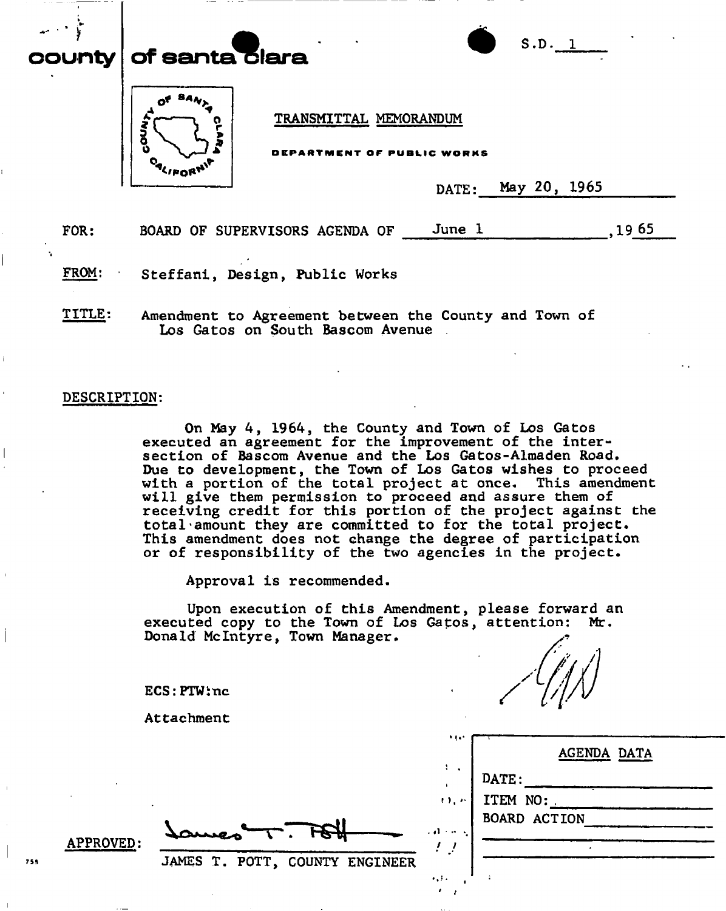# $\left\vert \mathsf{unt}\right\vert$  of santaiclara.



TRANSMITTAL MEMORANDUM

ENT OF PUBLIC WORKS

DATE: May 20, 1965

**S.D. 1** 

FOR: BOARD OF SUPERVISORS AGENDA OF June 1,1965

FROM: Steffani, Design, Public Works

TITLE: Amendment to Agreement between the County and Town of Los Gatos on South Bascom Avenue .

#### DESCRIPTION:

On May 4, 1964, the County and Town of Los Gatos executed an agreement for the improvement of the intersection of Bascom Avenue and the Los Gatos-Almaden Road. Due to development, the Town of Los Gatos wishes to proceed with a portion of the total project at once. This amendment will give them permission to proceed and assure them of receiving credit for this portion of the project against the total amount they are committed to for the total project. This amendment does not change the degree of participation or of responsibility of the two agencies in the project.

Approval is recommended.

Upon execution of this Amendment, please forward an executed copy to the Town of Los Gatos, attention: Mr. Donald Mclntyre, Town Manager.

ECS:PTWinc

Attachment

|  |  | Laures T. Poll 11E             |  |
|--|--|--------------------------------|--|
|  |  |                                |  |
|  |  | JAMES T. POTT, COUNTY ENGINEER |  |

APPROVED

755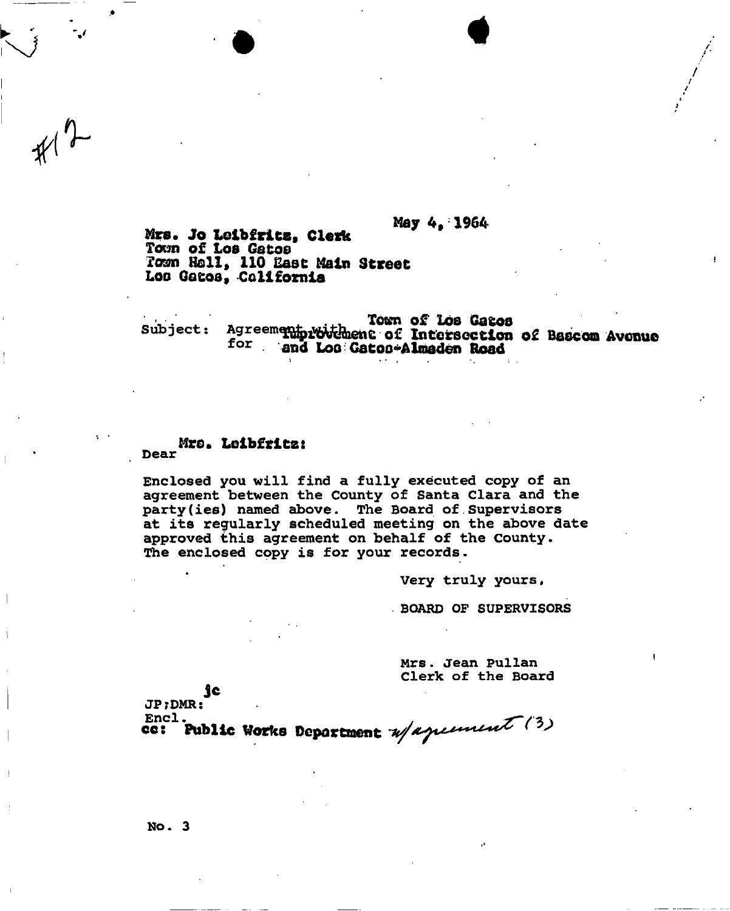### May 4» 1964

Mrs. Jo Lelb£rlts, Clerk Town of *LOB* Getoe Town Hall, 110 East Main Street Loo Gacoa, California

Town of log Gatoo subject: Agreement voithent of Intersection of Bascom Avenue for and Loo Gatoo-Almaden Road

#### Mr©. Loibfrits: **Dear**

 $*1$ 

**Enclosed you will find a fully executed copy of an agreement between the County of Santa Clara and the party(ies) named above. The Board of Supervisors at its regularly scheduled meeting on the above date approved this agreement on behalf of the County. The enclosed eppy is for your records.** 

**Very truly yours,** 

**. BOARD OF SUPERVISORS** 

**Mrs. Jean Pullan Clerk of the Board** 

Jc JP;DMR:<br>Encl.

cc: Public Works Deportment u/aperment (3)

**No. 3**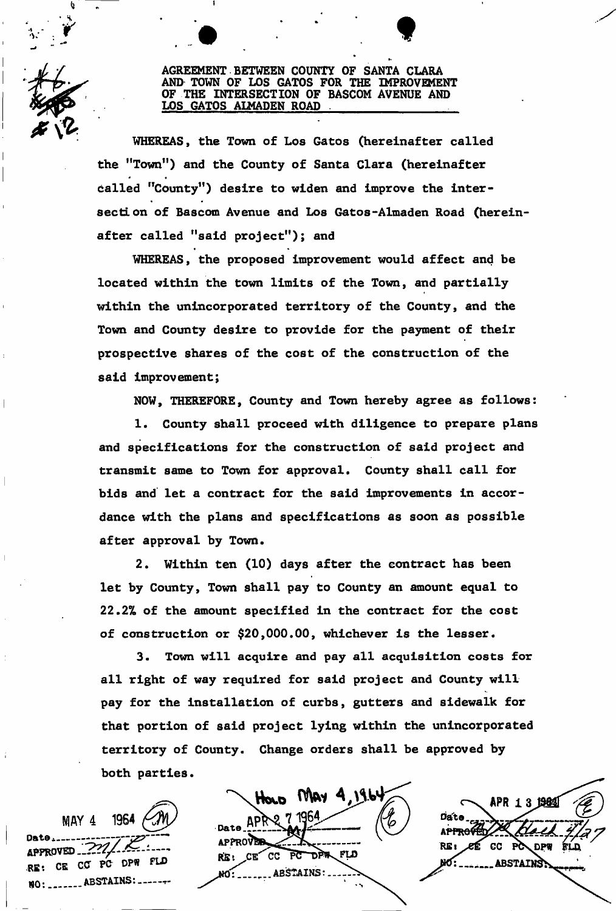## AGREEMENT BETWEEN COUNTY OF SANTA CLARA AND TOWN OF LOS GATOS FOR THE IMPROVEMENT OF THE INTERSECTION OF BASCOM AVENUE AND LOS GATOS ALMADEN ROAD

t

WHEREAS, the Town of Los Gatos (hereinafter called the "Town") and the County of Santa Clara (hereinafter called "County") desire to widen and improve the intersection of Bascom Avenue and Los Gatos-Almaden Road (hereinsection of Bascom Avenue and Los Gatos-Almaden Road (herein-

WHEREAS, the proposed improvement would affect and be located within the town limits of the Town, and partially within the unincorporated territory of the County, and the Town and County desire to provide for the payment of their Town and County desire to provide for the payment of their prospective shares of the cost of the construction of the said improvement;

NOW, THEREFORE, County and Town hereby agree as follows:

 $1.$  County shall proceed with distribution  $\mathcal{L}^{\mathcal{L}}$ and specifications for the constructions for the construction of said project and satisfied project and  $\alpha$ transmit same to Town for approval. County shall call for bids and let a contract for the said improvements in accordance with the plans and specifications as soon as possible after a ft by Town. The second control of the second control of the second control of the second control of th

 $2.$  With the contract has been (10) days after the contract has been (10) days after the contract has been (10) days after the contract has been (10). let by County, Town shall pay to County an amount equal to 22.2% of the amount specified in the contract for the cost<br>of construction or \$20,000.00, whichever is the lesser.

3. Town will acquire and pay all acquisition costs for all right of way required for said project and County will pay for the installation of curbs, gutters and sidewalk for that portion of said project lying within the unincorporated territory of County. Change orders shall be approved by territory of County. Change orders shall be approved by both parties.

1964 MAY 4 APPROVED 222 RE: CE CC PC DPW FLD 

HOLD MAY 4, 196 APF Date **APPROVER** CE CC PC DPR FLD RE: **ARSTAINS** 

APR 13 1984 Data RE. CC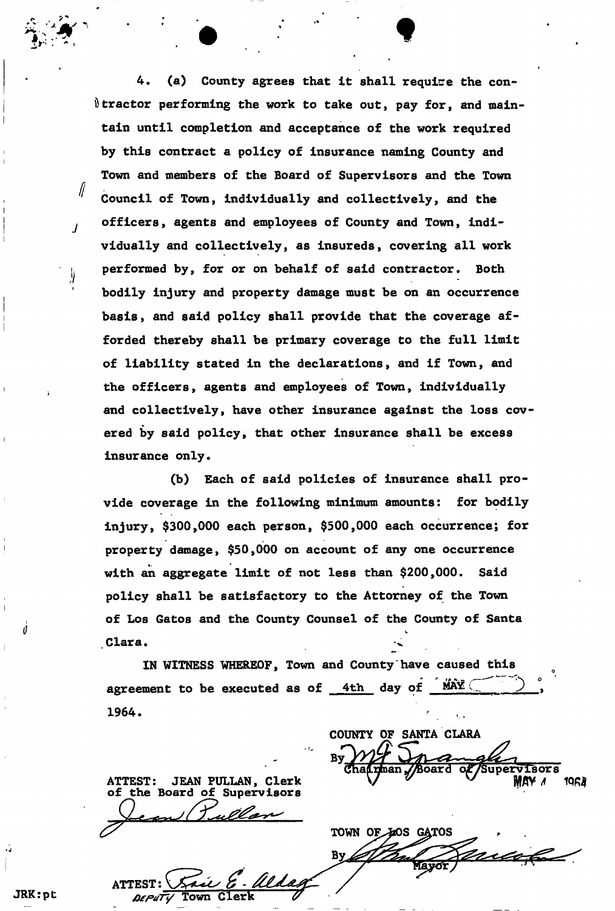4. (a) County agrees that it shall require the con- $\theta$  tractor performing the work to take out, pay for, and maintain until completion and acceptance of the work required by this contract a policy of insurance naming County and Town and members of the Board of Supervisors and the Town Council of Town, individually and collectively, and the officers, agents and employees of County and Town, individually and collectively, as insureds, covering all work performed by, for or on behalf of said contractor. Both bodily injury and property damage must be on an occurrence basis, and said policy shall provide that the coverage afforded thereby shall be primary coverage to the full limit of liability stated in the declarations, and if Town, and the officers, agents and employees of Town, individually and collectively, have other insurance against the loss covered by said policy, that other insurance shall be excess insurance only.

(b) Each of said policies of insurance shall provide coverage in the following minimum amounts: for bodily injury, \$300,000 each person, \$500,000 each occurrence; for property damage, \$50,000 on account of any one occurrence with an aggregate limit of not less than \$200,000. Said policy shall be satisfactory to the Attorney of the Town of Los Gatos and the County Counsel of the County of Santa Clara.

IN WITNESS WHEREOF, Town and County have caused this agreement to be executed as of  $4th$  day of  $-MAX$ 1964.

JEAN PULLAN, Clerk **ATTEST:** the Board of Supervisors

TOWN OF 40S GATOS By Mayor

 $\sqrt{3}$ 

1968

COUNTY OF SANTA CLARA

JRK: pt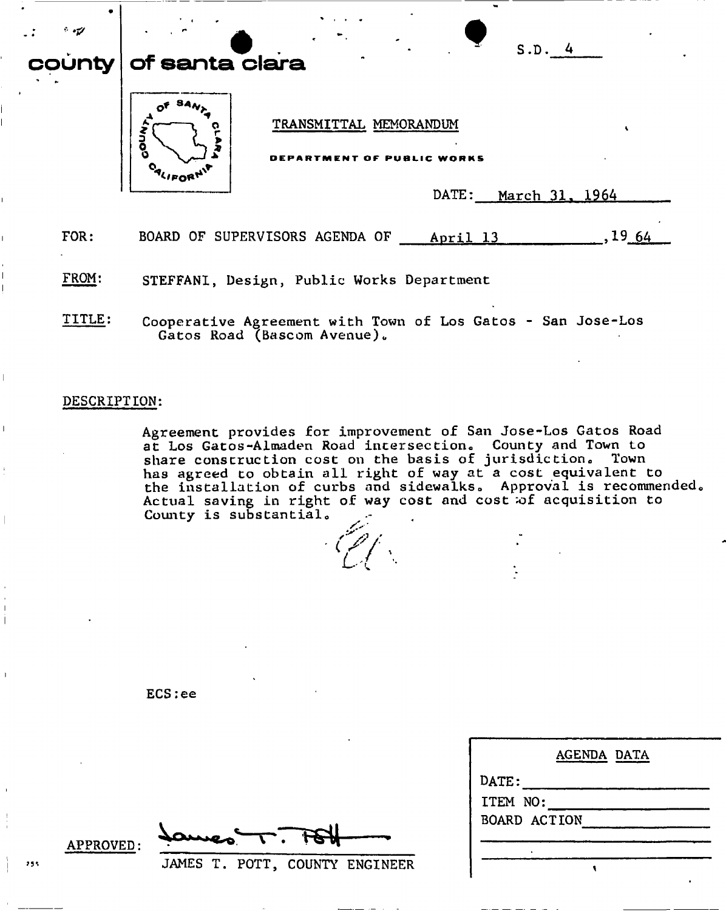| $\cdot$ , $\cdot$ , $\cdot$<br>county | S.D. 4<br>of santa clara                                                                              |
|---------------------------------------|-------------------------------------------------------------------------------------------------------|
|                                       | TRANSMITTAL MEMORANDUM<br><b>Ando</b><br>WORKS<br>RTMENT OF PUBLI<br>104 V<br>DATE:<br>March 31, 1964 |
| FOR:                                  | .1964<br>BOARD OF SUPERVISORS AGENDA OF<br>April 13                                                   |
| FROM:                                 | STEFFANI, Design, Public Works Department                                                             |
| TTTI F.                               | $C_{\alpha\alpha}$ panovativa Aavoomant $\alpha$ ith Torm of Lee Catos - San Iosa-Les                 |

**Cooperative Agreement with Town of Los Gatos** Gatos Road (Bascom Avenue).

# **DESCRIPTION:**

**Agreement provides for improvement of San Jose-Los Gatos Road**  at Los Gatos-Almaden Road intersection. County and Town to share construction cost on the basis of jurisdiction. Town **has agreed to obtain all right of way at a cost equivalent to the installation of curbs and sidewalks" Approval is recommendedo Actual saving in right of way cost and cost ;of acquisition to County is substantial.** 

**ECS:ee** 

**APPROVED** 

JAMES T. POTT, COUNTY ENGINEER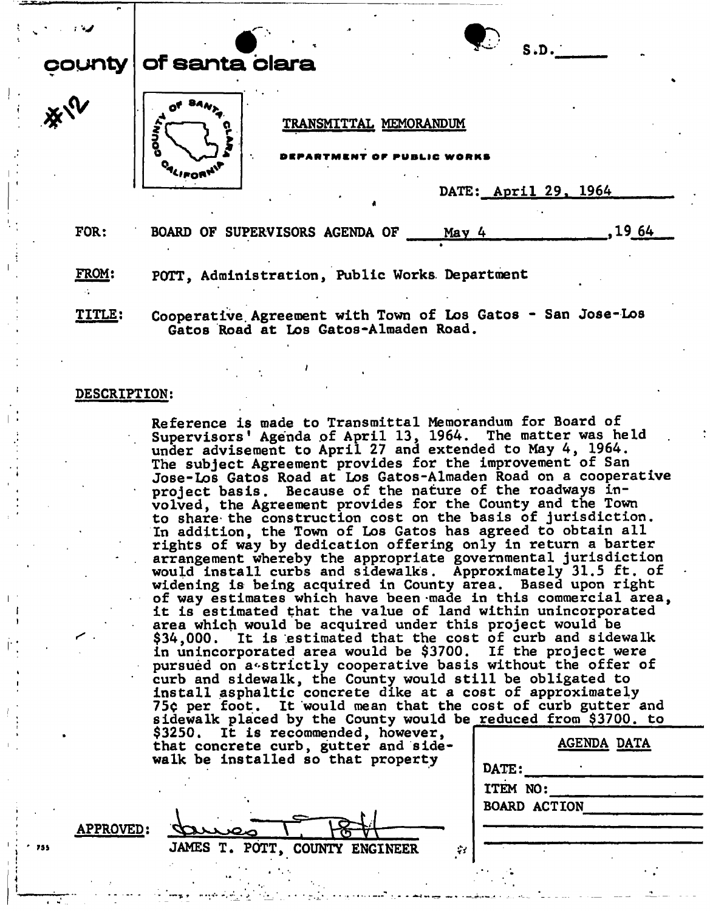|        | S.D.                                            |
|--------|-------------------------------------------------|
| county | of santa clara                                  |
| 淡い     | TRANSMITTAL MEMORANDUM<br>٦<br>Ō                |
|        | DATE: April 29, 1964                            |
| FOR:   | 1964<br>BOARD OF SUPERVISORS AGENDA OF<br>May 4 |

FROM: POTT, Administration, Public Works Department

TITLE: Cooperative Agreement with Town of Los Gatos - San Jose-Los Gatos Road at Los Gatos-Almaden Road.

#### DESCRIPTION:

Reference is made to Transmittal Memorandum for Board of Supervisors' Agenda of April 13, 1964. The matter was held under advisement to April 27 and extended to May 4, 1964. The subject Agreement provides for the improvement of San Jose-Los Gatos Road at Los Gatos-Almaden Road on a cooperative project basis. Because of the nature of the roadways involved, the Agreement provides for the County and the Town to share the construction cost on the basis of jurisdiction. In addition, the Town of Los Gatos has agreed to obtain all rights of way by dedication offering only in return a barter arrangement whereby the appropriate governmental jurisdiction would install curbs and sidewalks. Approximately 31.5 ft. of widening is being acquired in County area. Based upon right of way estimates which have been-made in this commercial area, it is estimated that the value of land within unincorporated area which would be acquired under this project would be \$34,000. It is estimated that the cost of curb and sidewalk in unincorporated area would be \$3700. If the project were pursued on a strictly cooperative basis without the offer of curb and sidewalk, the County would still be obligated to install asphaltic concrete dike at a cost of approximately 75¢ per foot. It would mean that the cost of curb gutter and sidewalk placed by the County would be reduced from \$3700. to \$3250. It is recommended, however, that concrete curb, gutter and sidewalk be installed so that property AGENDA DATA

| DATE:               |  |  |
|---------------------|--|--|
| ITEM NO:            |  |  |
| <b>BOARD ACTION</b> |  |  |
|                     |  |  |
|                     |  |  |
|                     |  |  |
|                     |  |  |

APPROVED: \

**73S JAMES T. POTT, COUNTY ENGINEER**